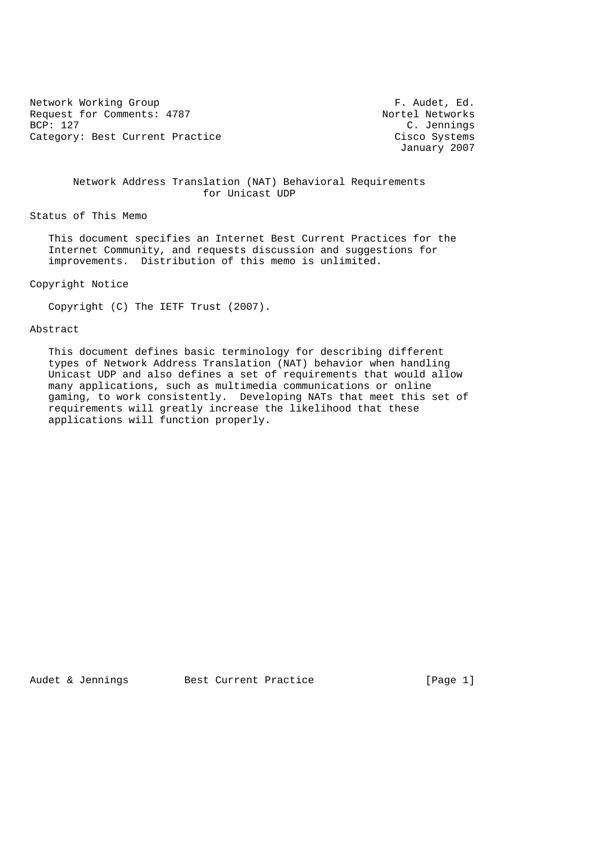Network Working Group and The Section of The Section of The Section Area of The Section Area and The Section A<br>
Nequest for Comments: 4787 Request for Comments: 4787<br>BCP: 127 Category: Best Current Practice and Category: Best Current Practice Cisco Systems

C. Jennings January 2007

 Network Address Translation (NAT) Behavioral Requirements for Unicast UDP

Status of This Memo

 This document specifies an Internet Best Current Practices for the Internet Community, and requests discussion and suggestions for improvements. Distribution of this memo is unlimited.

Copyright Notice

Copyright (C) The IETF Trust (2007).

#### Abstract

 This document defines basic terminology for describing different types of Network Address Translation (NAT) behavior when handling Unicast UDP and also defines a set of requirements that would allow many applications, such as multimedia communications or online gaming, to work consistently. Developing NATs that meet this set of requirements will greatly increase the likelihood that these applications will function properly.

Audet & Jennings Best Current Practice [Page 1]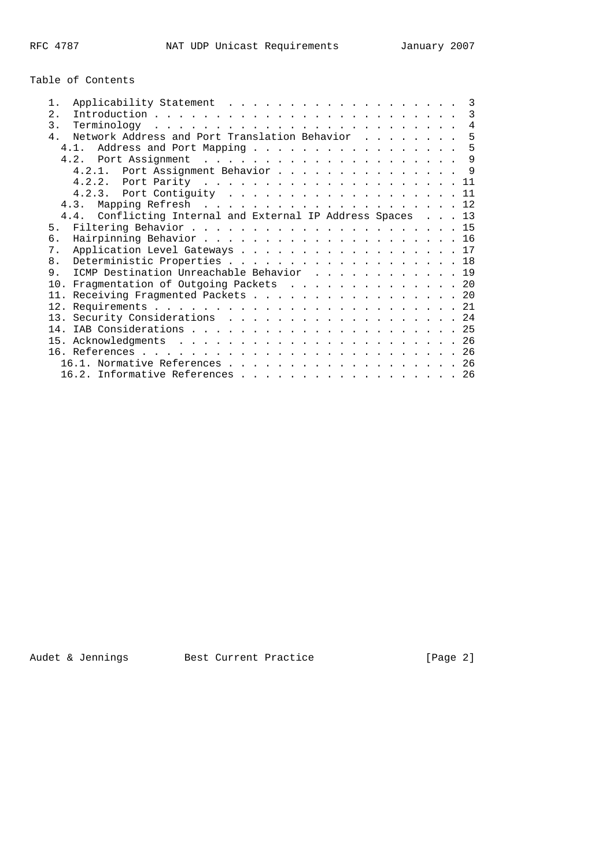# Table of Contents

| 1.             |                                                             |  |  |  | 3              |
|----------------|-------------------------------------------------------------|--|--|--|----------------|
| 2.             |                                                             |  |  |  | 3              |
| $\mathcal{E}$  |                                                             |  |  |  | $\overline{4}$ |
| $4$ .          | Network Address and Port Translation Behavior               |  |  |  | 5              |
|                | Address and Port Mapping<br>4.1                             |  |  |  | 5              |
|                |                                                             |  |  |  | $\mathsf{Q}$   |
|                | 4.2.1. Port Assignment Behavior 9                           |  |  |  |                |
|                |                                                             |  |  |  | 11             |
|                |                                                             |  |  |  | 11             |
|                |                                                             |  |  |  |                |
|                | 4.4. Conflicting Internal and External IP Address Spaces 13 |  |  |  |                |
| 5 <sub>1</sub> |                                                             |  |  |  |                |
| б.             |                                                             |  |  |  |                |
| 7.             | Application Level Gateways 17                               |  |  |  |                |
| 8.             | Deterministic Properties 18                                 |  |  |  |                |
| 9              | ICMP Destination Unreachable Behavior 19                    |  |  |  |                |
|                | 10. Fragmentation of Outgoing Packets 20                    |  |  |  |                |
|                | 11. Receiving Fragmented Packets 20                         |  |  |  |                |
|                |                                                             |  |  |  |                |
|                | 13. Security Considerations 24                              |  |  |  |                |
|                |                                                             |  |  |  |                |
|                |                                                             |  |  |  |                |
|                |                                                             |  |  |  |                |
|                | 16.1. Normative References 26                               |  |  |  |                |
|                | 16.2. Informative References 26                             |  |  |  |                |
|                |                                                             |  |  |  |                |

Audet & Jennings Best Current Practice (Page 2)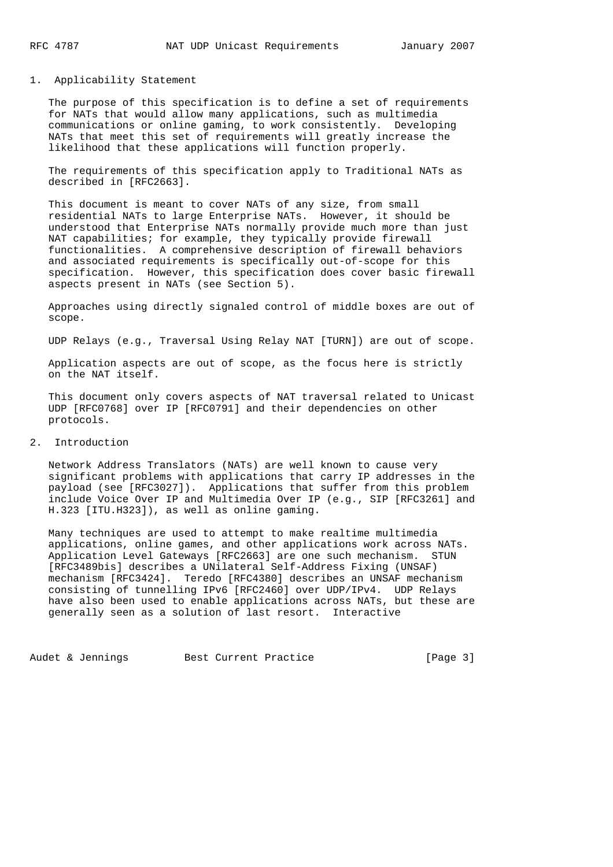## 1. Applicability Statement

 The purpose of this specification is to define a set of requirements for NATs that would allow many applications, such as multimedia communications or online gaming, to work consistently. Developing NATs that meet this set of requirements will greatly increase the likelihood that these applications will function properly.

 The requirements of this specification apply to Traditional NATs as described in [RFC2663].

 This document is meant to cover NATs of any size, from small residential NATs to large Enterprise NATs. However, it should be understood that Enterprise NATs normally provide much more than just NAT capabilities; for example, they typically provide firewall functionalities. A comprehensive description of firewall behaviors and associated requirements is specifically out-of-scope for this specification. However, this specification does cover basic firewall aspects present in NATs (see Section 5).

 Approaches using directly signaled control of middle boxes are out of scope.

UDP Relays (e.g., Traversal Using Relay NAT [TURN]) are out of scope.

 Application aspects are out of scope, as the focus here is strictly on the NAT itself.

 This document only covers aspects of NAT traversal related to Unicast UDP [RFC0768] over IP [RFC0791] and their dependencies on other protocols.

#### 2. Introduction

 Network Address Translators (NATs) are well known to cause very significant problems with applications that carry IP addresses in the payload (see [RFC3027]). Applications that suffer from this problem include Voice Over IP and Multimedia Over IP (e.g., SIP [RFC3261] and H.323 [ITU.H323]), as well as online gaming.

 Many techniques are used to attempt to make realtime multimedia applications, online games, and other applications work across NATs. Application Level Gateways [RFC2663] are one such mechanism. STUN [RFC3489bis] describes a UNilateral Self-Address Fixing (UNSAF) mechanism [RFC3424]. Teredo [RFC4380] describes an UNSAF mechanism consisting of tunnelling IPv6 [RFC2460] over UDP/IPv4. UDP Relays have also been used to enable applications across NATs, but these are generally seen as a solution of last resort. Interactive

Audet & Jennings Best Current Practice [Page 3]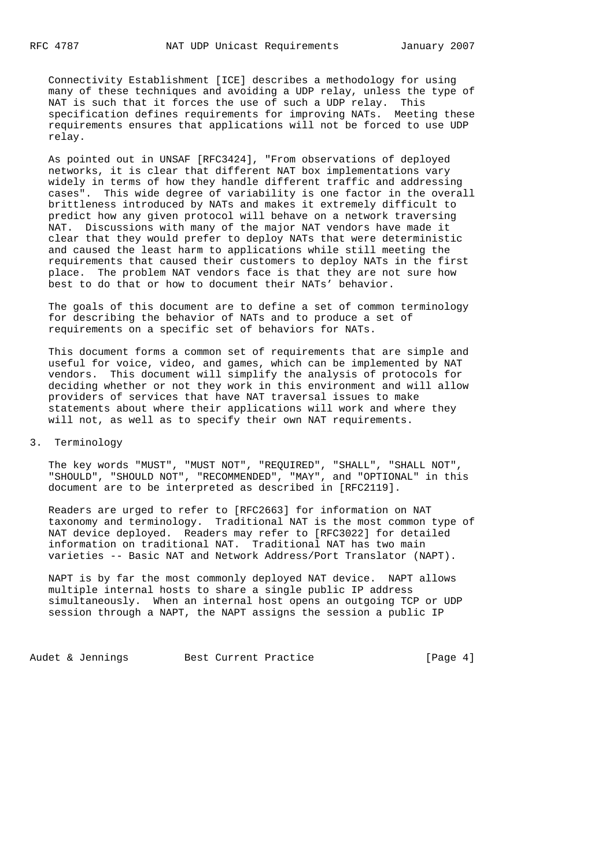Connectivity Establishment [ICE] describes a methodology for using many of these techniques and avoiding a UDP relay, unless the type of NAT is such that it forces the use of such a UDP relay. This specification defines requirements for improving NATs. Meeting these requirements ensures that applications will not be forced to use UDP relay.

 As pointed out in UNSAF [RFC3424], "From observations of deployed networks, it is clear that different NAT box implementations vary widely in terms of how they handle different traffic and addressing cases". This wide degree of variability is one factor in the overall brittleness introduced by NATs and makes it extremely difficult to predict how any given protocol will behave on a network traversing NAT. Discussions with many of the major NAT vendors have made it clear that they would prefer to deploy NATs that were deterministic and caused the least harm to applications while still meeting the requirements that caused their customers to deploy NATs in the first place. The problem NAT vendors face is that they are not sure how best to do that or how to document their NATs' behavior.

 The goals of this document are to define a set of common terminology for describing the behavior of NATs and to produce a set of requirements on a specific set of behaviors for NATs.

 This document forms a common set of requirements that are simple and useful for voice, video, and games, which can be implemented by NAT vendors. This document will simplify the analysis of protocols for deciding whether or not they work in this environment and will allow providers of services that have NAT traversal issues to make statements about where their applications will work and where they will not, as well as to specify their own NAT requirements.

### 3. Terminology

 The key words "MUST", "MUST NOT", "REQUIRED", "SHALL", "SHALL NOT", "SHOULD", "SHOULD NOT", "RECOMMENDED", "MAY", and "OPTIONAL" in this document are to be interpreted as described in [RFC2119].

 Readers are urged to refer to [RFC2663] for information on NAT taxonomy and terminology. Traditional NAT is the most common type of NAT device deployed. Readers may refer to [RFC3022] for detailed information on traditional NAT. Traditional NAT has two main varieties -- Basic NAT and Network Address/Port Translator (NAPT).

 NAPT is by far the most commonly deployed NAT device. NAPT allows multiple internal hosts to share a single public IP address simultaneously. When an internal host opens an outgoing TCP or UDP session through a NAPT, the NAPT assigns the session a public IP

Audet & Jennings Best Current Practice [Page 4]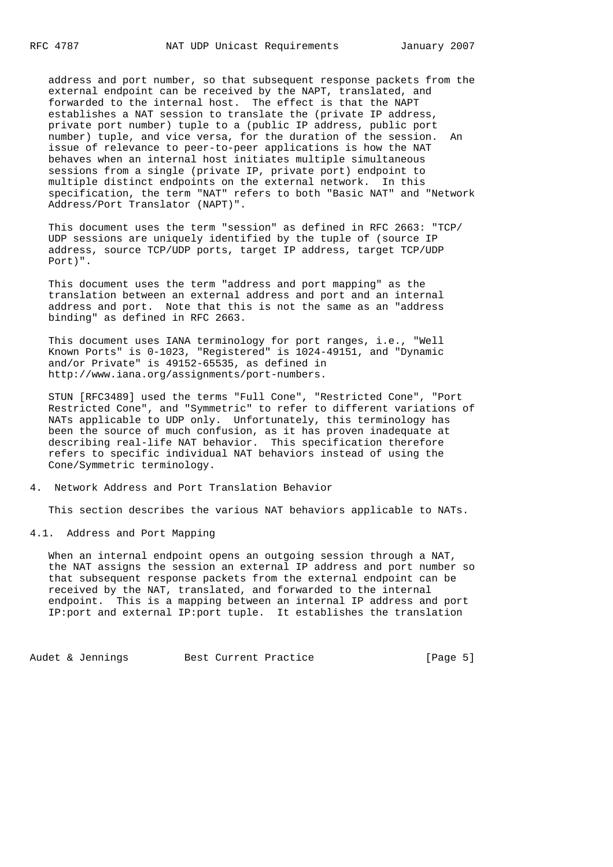address and port number, so that subsequent response packets from the external endpoint can be received by the NAPT, translated, and forwarded to the internal host. The effect is that the NAPT establishes a NAT session to translate the (private IP address, private port number) tuple to a (public IP address, public port number) tuple, and vice versa, for the duration of the session. An issue of relevance to peer-to-peer applications is how the NAT behaves when an internal host initiates multiple simultaneous sessions from a single (private IP, private port) endpoint to multiple distinct endpoints on the external network. In this specification, the term "NAT" refers to both "Basic NAT" and "Network Address/Port Translator (NAPT)".

 This document uses the term "session" as defined in RFC 2663: "TCP/ UDP sessions are uniquely identified by the tuple of (source IP address, source TCP/UDP ports, target IP address, target TCP/UDP Port)".

 This document uses the term "address and port mapping" as the translation between an external address and port and an internal address and port. Note that this is not the same as an "address binding" as defined in RFC 2663.

 This document uses IANA terminology for port ranges, i.e., "Well Known Ports" is 0-1023, "Registered" is 1024-49151, and "Dynamic and/or Private" is 49152-65535, as defined in http://www.iana.org/assignments/port-numbers.

 STUN [RFC3489] used the terms "Full Cone", "Restricted Cone", "Port Restricted Cone", and "Symmetric" to refer to different variations of NATs applicable to UDP only. Unfortunately, this terminology has been the source of much confusion, as it has proven inadequate at describing real-life NAT behavior. This specification therefore refers to specific individual NAT behaviors instead of using the Cone/Symmetric terminology.

#### 4. Network Address and Port Translation Behavior

This section describes the various NAT behaviors applicable to NATs.

4.1. Address and Port Mapping

 When an internal endpoint opens an outgoing session through a NAT, the NAT assigns the session an external IP address and port number so that subsequent response packets from the external endpoint can be received by the NAT, translated, and forwarded to the internal endpoint. This is a mapping between an internal IP address and port IP:port and external IP:port tuple. It establishes the translation

Audet & Jennings Best Current Practice [Page 5]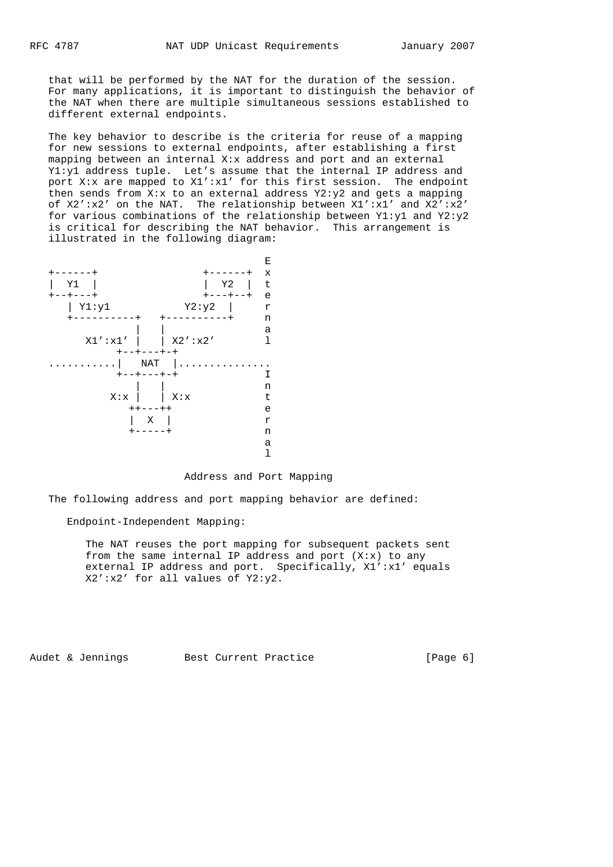that will be performed by the NAT for the duration of the session. For many applications, it is important to distinguish the behavior of the NAT when there are multiple simultaneous sessions established to different external endpoints.

 The key behavior to describe is the criteria for reuse of a mapping for new sessions to external endpoints, after establishing a first mapping between an internal X:x address and port and an external Y1:y1 address tuple. Let's assume that the internal IP address and port X:x are mapped to  $X1':X1'$  for this first session. The endpoint then sends from  $X:x$  to an external address  $Y2:y2$  and gets a mapping of X2':x2' on the NAT. The relationship between X1':x1' and X2':x2' for various combinations of the relationship between Y1:y1 and Y2:y2 is critical for describing the NAT behavior. This arrangement is illustrated in the following diagram:



## Address and Port Mapping

The following address and port mapping behavior are defined:

#### Endpoint-Independent Mapping:

 The NAT reuses the port mapping for subsequent packets sent from the same internal IP address and port  $(X: x)$  to any external IP address and port. Specifically, X1':x1' equals X2':x2' for all values of Y2:y2.

Audet & Jennings Best Current Practice [Page 6]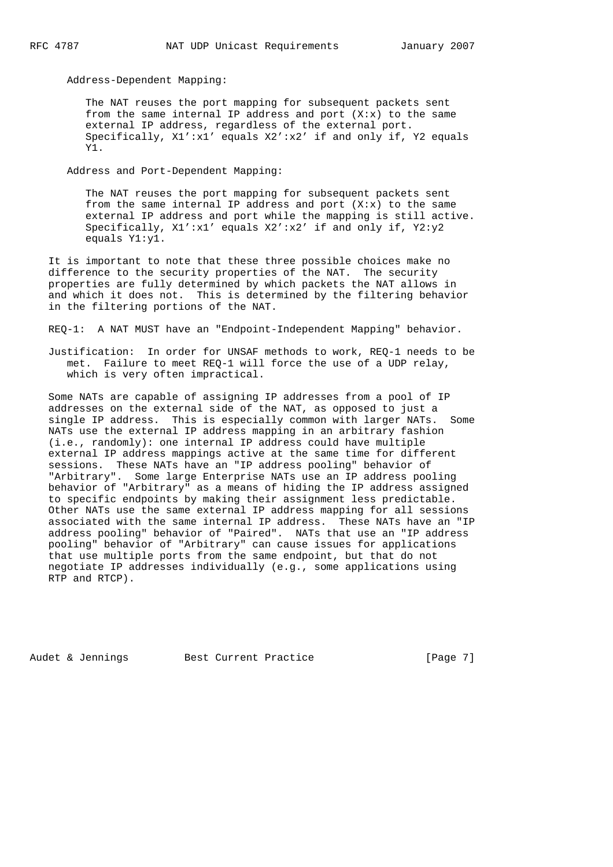Address-Dependent Mapping:

 The NAT reuses the port mapping for subsequent packets sent from the same internal IP address and port  $(X:x)$  to the same external IP address, regardless of the external port. Specifically,  $X1':X1'$  equals  $X2':X2'$  if and only if, Y2 equals Y1.

Address and Port-Dependent Mapping:

 The NAT reuses the port mapping for subsequent packets sent from the same internal IP address and port  $(X: x)$  to the same external IP address and port while the mapping is still active. Specifically, X1':x1' equals X2':x2' if and only if, Y2:y2 equals Y1:y1.

 It is important to note that these three possible choices make no difference to the security properties of the NAT. The security properties are fully determined by which packets the NAT allows in and which it does not. This is determined by the filtering behavior in the filtering portions of the NAT.

REQ-1: A NAT MUST have an "Endpoint-Independent Mapping" behavior.

 Justification: In order for UNSAF methods to work, REQ-1 needs to be met. Failure to meet REQ-1 will force the use of a UDP relay, which is very often impractical.

 Some NATs are capable of assigning IP addresses from a pool of IP addresses on the external side of the NAT, as opposed to just a single IP address. This is especially common with larger NATs. Some NATs use the external IP address mapping in an arbitrary fashion (i.e., randomly): one internal IP address could have multiple external IP address mappings active at the same time for different sessions. These NATs have an "IP address pooling" behavior of "Arbitrary". Some large Enterprise NATs use an IP address pooling behavior of "Arbitrary" as a means of hiding the IP address assigned to specific endpoints by making their assignment less predictable. Other NATs use the same external IP address mapping for all sessions associated with the same internal IP address. These NATs have an "IP address pooling" behavior of "Paired". NATs that use an "IP address pooling" behavior of "Arbitrary" can cause issues for applications that use multiple ports from the same endpoint, but that do not negotiate IP addresses individually (e.g., some applications using RTP and RTCP).

Audet & Jennings Best Current Practice [Page 7]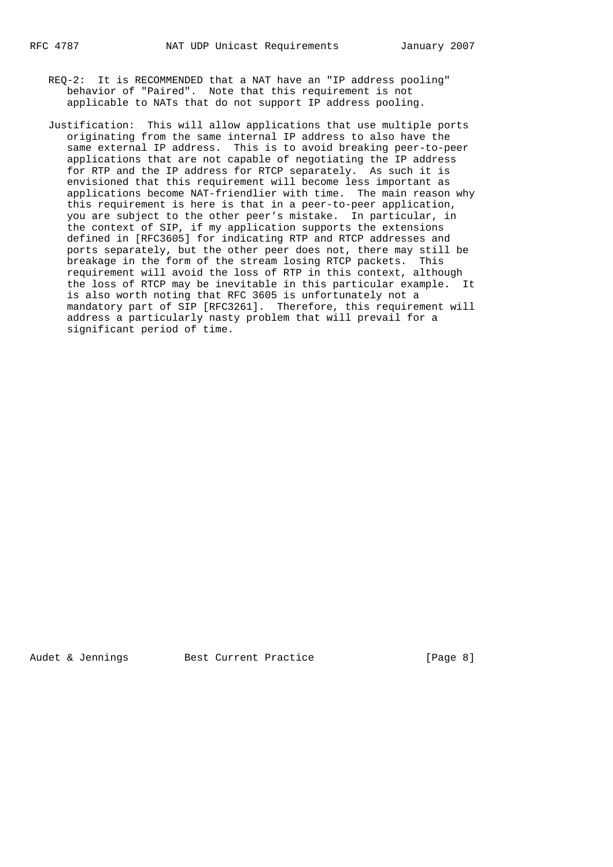- REQ-2: It is RECOMMENDED that a NAT have an "IP address pooling" behavior of "Paired". Note that this requirement is not applicable to NATs that do not support IP address pooling.
- Justification: This will allow applications that use multiple ports originating from the same internal IP address to also have the same external IP address. This is to avoid breaking peer-to-peer applications that are not capable of negotiating the IP address for RTP and the IP address for RTCP separately. As such it is envisioned that this requirement will become less important as applications become NAT-friendlier with time. The main reason why this requirement is here is that in a peer-to-peer application, you are subject to the other peer's mistake. In particular, in the context of SIP, if my application supports the extensions defined in [RFC3605] for indicating RTP and RTCP addresses and ports separately, but the other peer does not, there may still be breakage in the form of the stream losing RTCP packets. This requirement will avoid the loss of RTP in this context, although the loss of RTCP may be inevitable in this particular example. It is also worth noting that RFC 3605 is unfortunately not a mandatory part of SIP [RFC3261]. Therefore, this requirement will address a particularly nasty problem that will prevail for a significant period of time.

Audet & Jennings Best Current Practice [Page 8]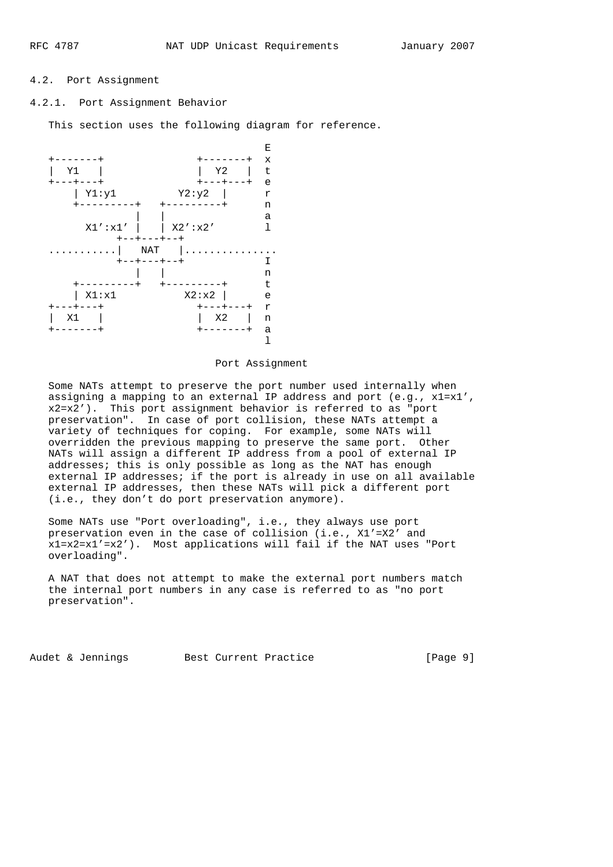### 4.2. Port Assignment

4.2.1. Port Assignment Behavior

This section uses the following diagram for reference.



#### Port Assignment

 Some NATs attempt to preserve the port number used internally when assigning a mapping to an external IP address and port (e.g., x1=x1', x2=x2'). This port assignment behavior is referred to as "port preservation". In case of port collision, these NATs attempt a variety of techniques for coping. For example, some NATs will overridden the previous mapping to preserve the same port. Other NATs will assign a different IP address from a pool of external IP addresses; this is only possible as long as the NAT has enough external IP addresses; if the port is already in use on all available external IP addresses, then these NATs will pick a different port (i.e., they don't do port preservation anymore).

 Some NATs use "Port overloading", i.e., they always use port preservation even in the case of collision (i.e., X1'=X2' and x1=x2=x1'=x2'). Most applications will fail if the NAT uses "Port overloading".

 A NAT that does not attempt to make the external port numbers match the internal port numbers in any case is referred to as "no port preservation".

Audet & Jennings Best Current Practice [Page 9]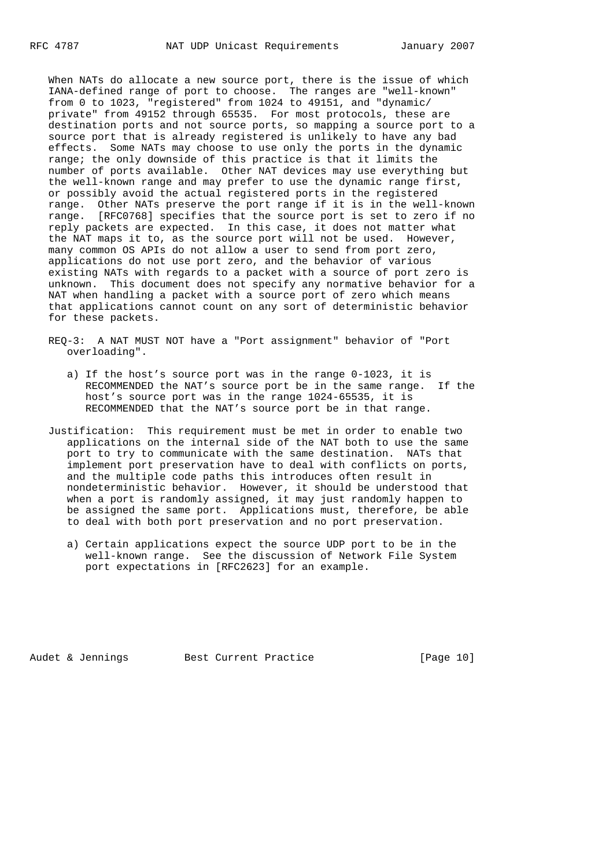When NATs do allocate a new source port, there is the issue of which IANA-defined range of port to choose. The ranges are "well-known" from 0 to 1023, "registered" from 1024 to 49151, and "dynamic/ private" from 49152 through 65535. For most protocols, these are destination ports and not source ports, so mapping a source port to a source port that is already registered is unlikely to have any bad effects. Some NATs may choose to use only the ports in the dynamic range; the only downside of this practice is that it limits the number of ports available. Other NAT devices may use everything but the well-known range and may prefer to use the dynamic range first, or possibly avoid the actual registered ports in the registered range. Other NATs preserve the port range if it is in the well-known range. [RFC0768] specifies that the source port is set to zero if no reply packets are expected. In this case, it does not matter what the NAT maps it to, as the source port will not be used. However, many common OS APIs do not allow a user to send from port zero, applications do not use port zero, and the behavior of various existing NATs with regards to a packet with a source of port zero is unknown. This document does not specify any normative behavior for a NAT when handling a packet with a source port of zero which means that applications cannot count on any sort of deterministic behavior for these packets.

- REQ-3: A NAT MUST NOT have a "Port assignment" behavior of "Port overloading".
	- a) If the host's source port was in the range 0-1023, it is RECOMMENDED the NAT's source port be in the same range. If the host's source port was in the range 1024-65535, it is RECOMMENDED that the NAT's source port be in that range.
- Justification: This requirement must be met in order to enable two applications on the internal side of the NAT both to use the same port to try to communicate with the same destination. NATs that implement port preservation have to deal with conflicts on ports, and the multiple code paths this introduces often result in nondeterministic behavior. However, it should be understood that when a port is randomly assigned, it may just randomly happen to be assigned the same port. Applications must, therefore, be able to deal with both port preservation and no port preservation.
	- a) Certain applications expect the source UDP port to be in the well-known range. See the discussion of Network File System port expectations in [RFC2623] for an example.

Audet & Jennings Best Current Practice [Page 10]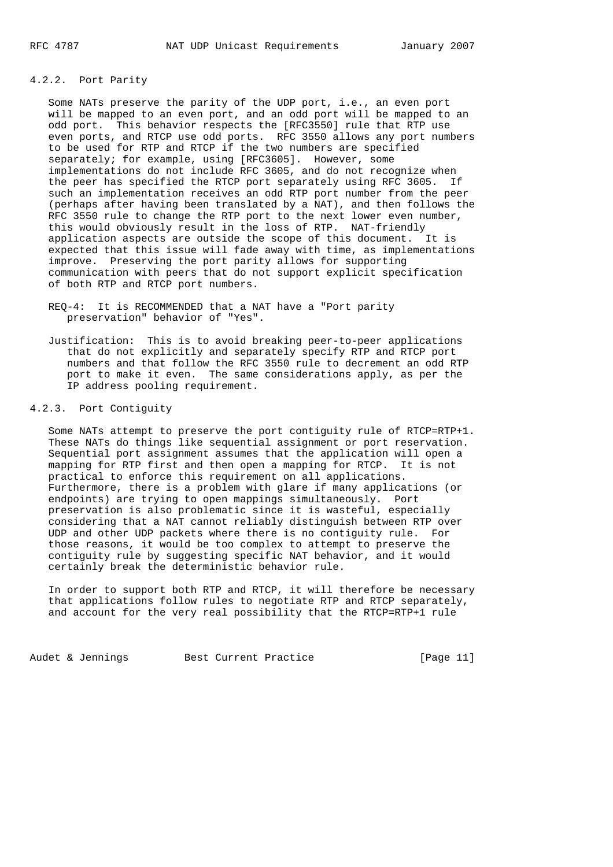## 4.2.2. Port Parity

 Some NATs preserve the parity of the UDP port, i.e., an even port will be mapped to an even port, and an odd port will be mapped to an odd port. This behavior respects the [RFC3550] rule that RTP use even ports, and RTCP use odd ports. RFC 3550 allows any port numbers to be used for RTP and RTCP if the two numbers are specified separately; for example, using [RFC3605]. However, some implementations do not include RFC 3605, and do not recognize when the peer has specified the RTCP port separately using RFC 3605. If such an implementation receives an odd RTP port number from the peer (perhaps after having been translated by a NAT), and then follows the RFC 3550 rule to change the RTP port to the next lower even number, this would obviously result in the loss of RTP. NAT-friendly application aspects are outside the scope of this document. It is expected that this issue will fade away with time, as implementations improve. Preserving the port parity allows for supporting communication with peers that do not support explicit specification of both RTP and RTCP port numbers.

 REQ-4: It is RECOMMENDED that a NAT have a "Port parity preservation" behavior of "Yes".

 Justification: This is to avoid breaking peer-to-peer applications that do not explicitly and separately specify RTP and RTCP port numbers and that follow the RFC 3550 rule to decrement an odd RTP port to make it even. The same considerations apply, as per the IP address pooling requirement.

4.2.3. Port Contiguity

 Some NATs attempt to preserve the port contiguity rule of RTCP=RTP+1. These NATs do things like sequential assignment or port reservation. Sequential port assignment assumes that the application will open a mapping for RTP first and then open a mapping for RTCP. It is not practical to enforce this requirement on all applications. Furthermore, there is a problem with glare if many applications (or endpoints) are trying to open mappings simultaneously. Port preservation is also problematic since it is wasteful, especially considering that a NAT cannot reliably distinguish between RTP over UDP and other UDP packets where there is no contiguity rule. For those reasons, it would be too complex to attempt to preserve the contiguity rule by suggesting specific NAT behavior, and it would certainly break the deterministic behavior rule.

 In order to support both RTP and RTCP, it will therefore be necessary that applications follow rules to negotiate RTP and RTCP separately, and account for the very real possibility that the RTCP=RTP+1 rule

Audet & Jennings Best Current Practice [Page 11]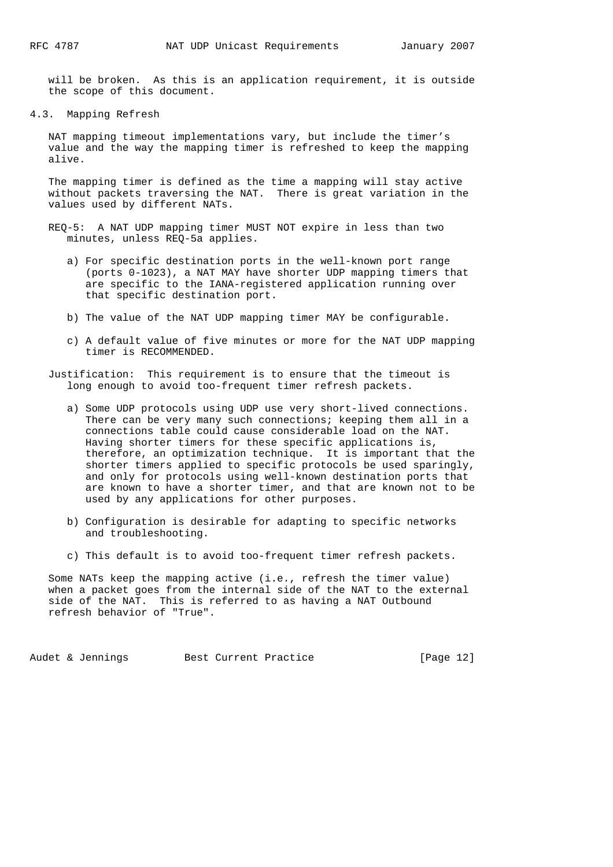will be broken. As this is an application requirement, it is outside the scope of this document.

4.3. Mapping Refresh

 NAT mapping timeout implementations vary, but include the timer's value and the way the mapping timer is refreshed to keep the mapping alive.

 The mapping timer is defined as the time a mapping will stay active without packets traversing the NAT. There is great variation in the values used by different NATs.

- REQ-5: A NAT UDP mapping timer MUST NOT expire in less than two minutes, unless REQ-5a applies.
	- a) For specific destination ports in the well-known port range (ports 0-1023), a NAT MAY have shorter UDP mapping timers that are specific to the IANA-registered application running over that specific destination port.
	- b) The value of the NAT UDP mapping timer MAY be configurable.
	- c) A default value of five minutes or more for the NAT UDP mapping timer is RECOMMENDED.
- Justification: This requirement is to ensure that the timeout is long enough to avoid too-frequent timer refresh packets.
	- a) Some UDP protocols using UDP use very short-lived connections. There can be very many such connections; keeping them all in a connections table could cause considerable load on the NAT. Having shorter timers for these specific applications is, therefore, an optimization technique. It is important that the shorter timers applied to specific protocols be used sparingly, and only for protocols using well-known destination ports that are known to have a shorter timer, and that are known not to be used by any applications for other purposes.
	- b) Configuration is desirable for adapting to specific networks and troubleshooting.
	- c) This default is to avoid too-frequent timer refresh packets.

 Some NATs keep the mapping active (i.e., refresh the timer value) when a packet goes from the internal side of the NAT to the external side of the NAT. This is referred to as having a NAT Outbound refresh behavior of "True".

Audet & Jennings Best Current Practice [Page 12]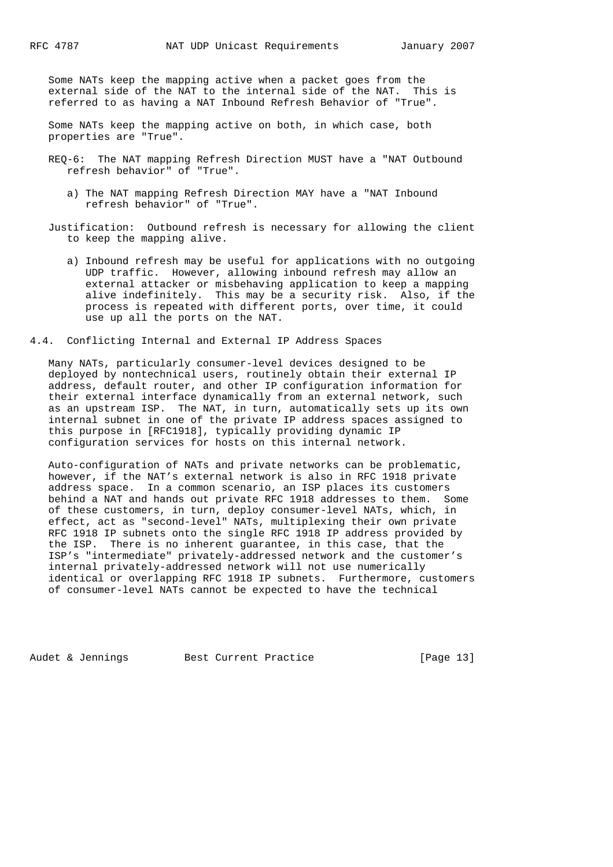Some NATs keep the mapping active when a packet goes from the external side of the NAT to the internal side of the NAT. This is referred to as having a NAT Inbound Refresh Behavior of "True".

 Some NATs keep the mapping active on both, in which case, both properties are "True".

- REQ-6: The NAT mapping Refresh Direction MUST have a "NAT Outbound refresh behavior" of "True".
	- a) The NAT mapping Refresh Direction MAY have a "NAT Inbound refresh behavior" of "True".
- Justification: Outbound refresh is necessary for allowing the client to keep the mapping alive.
	- a) Inbound refresh may be useful for applications with no outgoing UDP traffic. However, allowing inbound refresh may allow an external attacker or misbehaving application to keep a mapping alive indefinitely. This may be a security risk. Also, if the process is repeated with different ports, over time, it could use up all the ports on the NAT.
- 4.4. Conflicting Internal and External IP Address Spaces

 Many NATs, particularly consumer-level devices designed to be deployed by nontechnical users, routinely obtain their external IP address, default router, and other IP configuration information for their external interface dynamically from an external network, such as an upstream ISP. The NAT, in turn, automatically sets up its own internal subnet in one of the private IP address spaces assigned to this purpose in [RFC1918], typically providing dynamic IP configuration services for hosts on this internal network.

 Auto-configuration of NATs and private networks can be problematic, however, if the NAT's external network is also in RFC 1918 private address space. In a common scenario, an ISP places its customers behind a NAT and hands out private RFC 1918 addresses to them. Some of these customers, in turn, deploy consumer-level NATs, which, in effect, act as "second-level" NATs, multiplexing their own private RFC 1918 IP subnets onto the single RFC 1918 IP address provided by the ISP. There is no inherent guarantee, in this case, that the ISP's "intermediate" privately-addressed network and the customer's internal privately-addressed network will not use numerically identical or overlapping RFC 1918 IP subnets. Furthermore, customers of consumer-level NATs cannot be expected to have the technical

Audet & Jennings Best Current Practice [Page 13]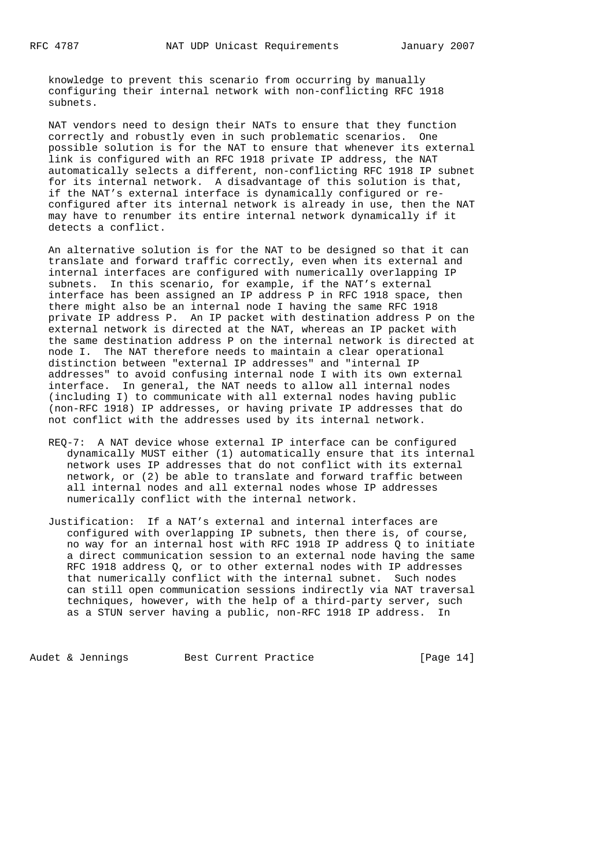knowledge to prevent this scenario from occurring by manually configuring their internal network with non-conflicting RFC 1918 subnets.

 NAT vendors need to design their NATs to ensure that they function correctly and robustly even in such problematic scenarios. One possible solution is for the NAT to ensure that whenever its external link is configured with an RFC 1918 private IP address, the NAT automatically selects a different, non-conflicting RFC 1918 IP subnet for its internal network. A disadvantage of this solution is that, if the NAT's external interface is dynamically configured or re configured after its internal network is already in use, then the NAT may have to renumber its entire internal network dynamically if it detects a conflict.

 An alternative solution is for the NAT to be designed so that it can translate and forward traffic correctly, even when its external and internal interfaces are configured with numerically overlapping IP subnets. In this scenario, for example, if the NAT's external interface has been assigned an IP address P in RFC 1918 space, then there might also be an internal node I having the same RFC 1918 private IP address P. An IP packet with destination address P on the external network is directed at the NAT, whereas an IP packet with the same destination address P on the internal network is directed at node I. The NAT therefore needs to maintain a clear operational distinction between "external IP addresses" and "internal IP addresses" to avoid confusing internal node I with its own external interface. In general, the NAT needs to allow all internal nodes (including I) to communicate with all external nodes having public (non-RFC 1918) IP addresses, or having private IP addresses that do not conflict with the addresses used by its internal network.

- REQ-7: A NAT device whose external IP interface can be configured dynamically MUST either (1) automatically ensure that its internal network uses IP addresses that do not conflict with its external network, or (2) be able to translate and forward traffic between all internal nodes and all external nodes whose IP addresses numerically conflict with the internal network.
- Justification: If a NAT's external and internal interfaces are configured with overlapping IP subnets, then there is, of course, no way for an internal host with RFC 1918 IP address Q to initiate a direct communication session to an external node having the same RFC 1918 address Q, or to other external nodes with IP addresses that numerically conflict with the internal subnet. Such nodes can still open communication sessions indirectly via NAT traversal techniques, however, with the help of a third-party server, such as a STUN server having a public, non-RFC 1918 IP address. In

Audet & Jennings Best Current Practice [Page 14]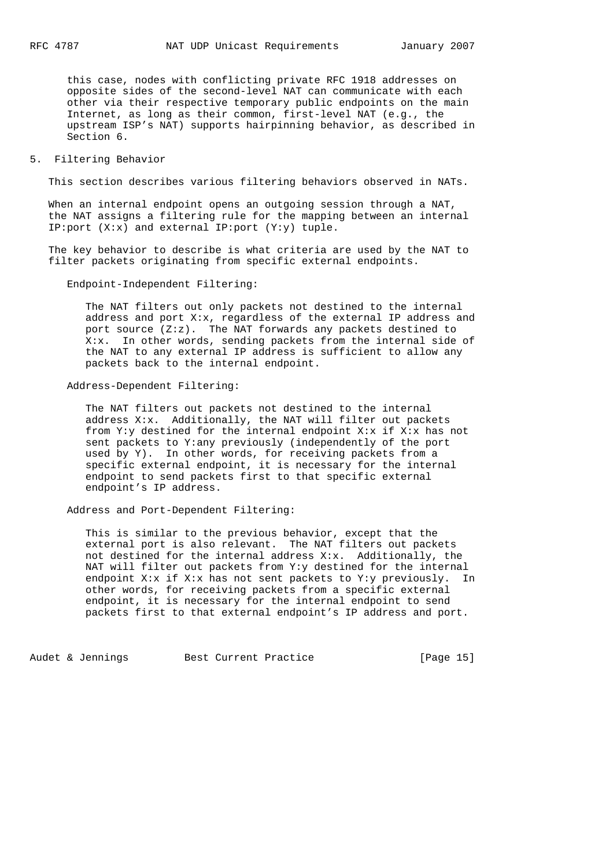this case, nodes with conflicting private RFC 1918 addresses on opposite sides of the second-level NAT can communicate with each other via their respective temporary public endpoints on the main Internet, as long as their common, first-level NAT (e.g., the upstream ISP's NAT) supports hairpinning behavior, as described in Section 6.

### 5. Filtering Behavior

This section describes various filtering behaviors observed in NATs.

 When an internal endpoint opens an outgoing session through a NAT, the NAT assigns a filtering rule for the mapping between an internal IP:port (X:x) and external IP:port (Y:y) tuple.

 The key behavior to describe is what criteria are used by the NAT to filter packets originating from specific external endpoints.

Endpoint-Independent Filtering:

 The NAT filters out only packets not destined to the internal address and port X:x, regardless of the external IP address and port source (Z:z). The NAT forwards any packets destined to X:x. In other words, sending packets from the internal side of the NAT to any external IP address is sufficient to allow any packets back to the internal endpoint.

Address-Dependent Filtering:

 The NAT filters out packets not destined to the internal address  $X: x$ . Additionally, the NAT will filter out packets from Y:y destined for the internal endpoint X:x if X:x has not sent packets to Y:any previously (independently of the port used by Y). In other words, for receiving packets from a specific external endpoint, it is necessary for the internal endpoint to send packets first to that specific external endpoint's IP address.

Address and Port-Dependent Filtering:

 This is similar to the previous behavior, except that the external port is also relevant. The NAT filters out packets not destined for the internal address X:x. Additionally, the NAT will filter out packets from Y:y destined for the internal endpoint X:x if X:x has not sent packets to Y:y previously. In other words, for receiving packets from a specific external endpoint, it is necessary for the internal endpoint to send packets first to that external endpoint's IP address and port.

Audet & Jennings Best Current Practice [Page 15]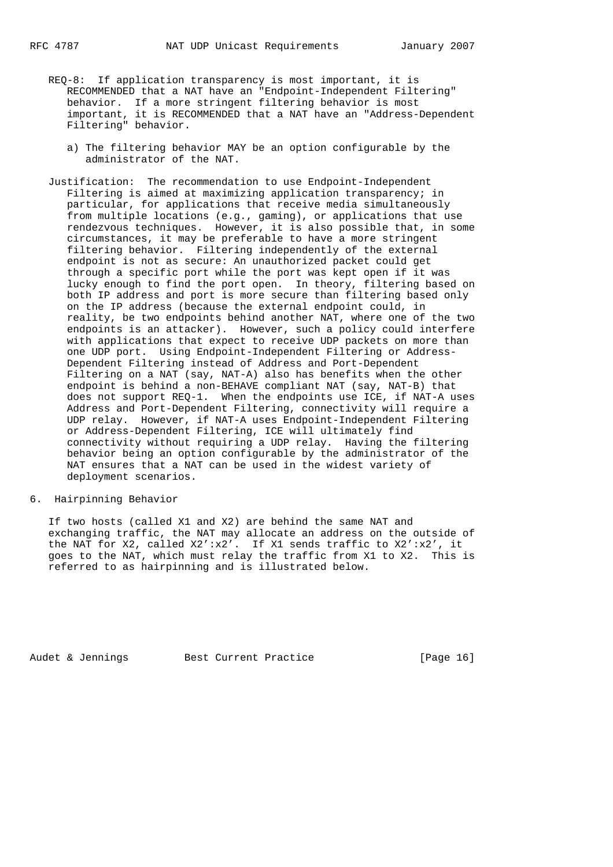- REQ-8: If application transparency is most important, it is RECOMMENDED that a NAT have an "Endpoint-Independent Filtering" behavior. If a more stringent filtering behavior is most important, it is RECOMMENDED that a NAT have an "Address-Dependent Filtering" behavior.
	- a) The filtering behavior MAY be an option configurable by the administrator of the NAT.
- Justification: The recommendation to use Endpoint-Independent Filtering is aimed at maximizing application transparency; in particular, for applications that receive media simultaneously from multiple locations (e.g., gaming), or applications that use rendezvous techniques. However, it is also possible that, in some circumstances, it may be preferable to have a more stringent filtering behavior. Filtering independently of the external endpoint is not as secure: An unauthorized packet could get through a specific port while the port was kept open if it was lucky enough to find the port open. In theory, filtering based on both IP address and port is more secure than filtering based only on the IP address (because the external endpoint could, in reality, be two endpoints behind another NAT, where one of the two endpoints is an attacker). However, such a policy could interfere with applications that expect to receive UDP packets on more than one UDP port. Using Endpoint-Independent Filtering or Address- Dependent Filtering instead of Address and Port-Dependent Filtering on a NAT (say, NAT-A) also has benefits when the other endpoint is behind a non-BEHAVE compliant NAT (say, NAT-B) that does not support REQ-1. When the endpoints use ICE, if NAT-A uses Address and Port-Dependent Filtering, connectivity will require a UDP relay. However, if NAT-A uses Endpoint-Independent Filtering or Address-Dependent Filtering, ICE will ultimately find connectivity without requiring a UDP relay. Having the filtering behavior being an option configurable by the administrator of the NAT ensures that a NAT can be used in the widest variety of deployment scenarios.

#### 6. Hairpinning Behavior

 If two hosts (called X1 and X2) are behind the same NAT and exchanging traffic, the NAT may allocate an address on the outside of the NAT for X2, called X2':x2'. If X1 sends traffic to X2':x2', it goes to the NAT, which must relay the traffic from X1 to X2. This is referred to as hairpinning and is illustrated below.

Audet & Jennings Best Current Practice [Page 16]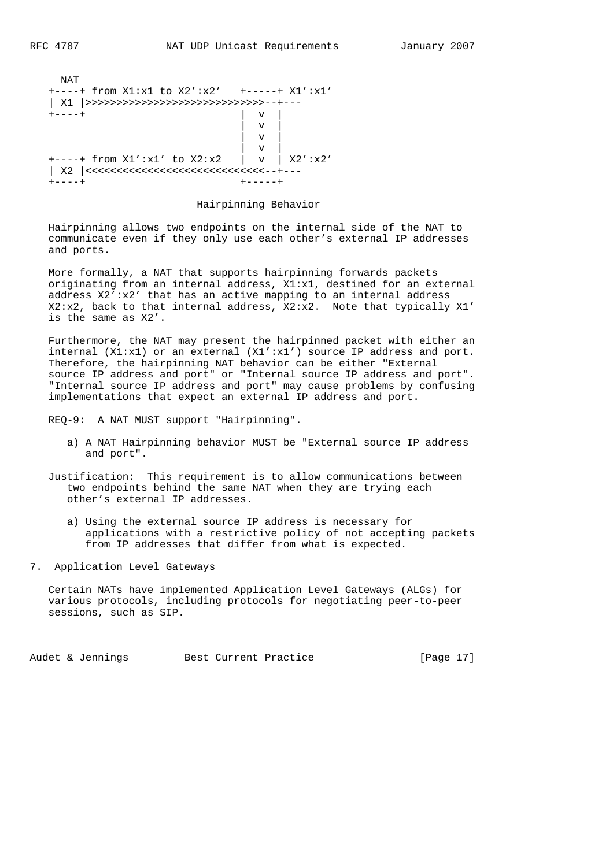```
 NAT
  +----+ from X1:x1 to X2':x2' +-----+ X1':x1'
  | X1 |>>>>>>>>>>>>>>>>>>>>>>>>>>>>>--+---
  +----+ | v |
\mathbf{v} | v |
 | v |
 | v |
  +----+ from X1':x1' to X2:x2 | v | X2':x2'
  | X2 |<<<<<<<<<<<<<<<<<<<<<<<<<<<<<--+---
  +----+ +-----+
```
Hairpinning Behavior

 Hairpinning allows two endpoints on the internal side of the NAT to communicate even if they only use each other's external IP addresses and ports.

 More formally, a NAT that supports hairpinning forwards packets originating from an internal address, X1:x1, destined for an external address X2':x2' that has an active mapping to an internal address X2:x2, back to that internal address, X2:x2. Note that typically X1' is the same as X2'.

 Furthermore, the NAT may present the hairpinned packet with either an internal  $(X1:x1)$  or an external  $(X1':x1')$  source IP address and port. Therefore, the hairpinning NAT behavior can be either "External source IP address and port" or "Internal source IP address and port". "Internal source IP address and port" may cause problems by confusing implementations that expect an external IP address and port.

REQ-9: A NAT MUST support "Hairpinning".

 a) A NAT Hairpinning behavior MUST be "External source IP address and port".

 Justification: This requirement is to allow communications between two endpoints behind the same NAT when they are trying each other's external IP addresses.

- a) Using the external source IP address is necessary for applications with a restrictive policy of not accepting packets from IP addresses that differ from what is expected.
- 7. Application Level Gateways

 Certain NATs have implemented Application Level Gateways (ALGs) for various protocols, including protocols for negotiating peer-to-peer sessions, such as SIP.

Audet & Jennings Best Current Practice [Page 17]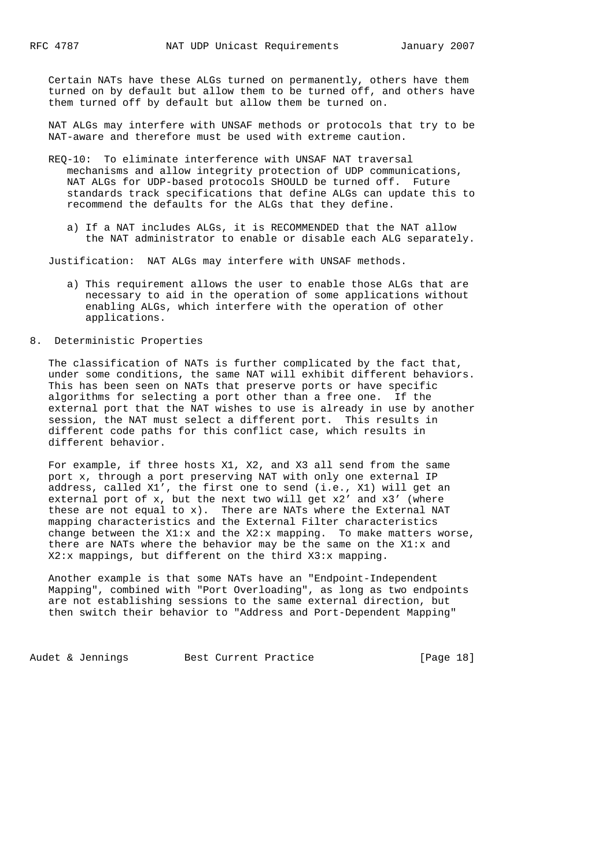Certain NATs have these ALGs turned on permanently, others have them turned on by default but allow them to be turned off, and others have them turned off by default but allow them be turned on.

 NAT ALGs may interfere with UNSAF methods or protocols that try to be NAT-aware and therefore must be used with extreme caution.

- REQ-10: To eliminate interference with UNSAF NAT traversal mechanisms and allow integrity protection of UDP communications, NAT ALGs for UDP-based protocols SHOULD be turned off. Future standards track specifications that define ALGs can update this to recommend the defaults for the ALGs that they define.
	- a) If a NAT includes ALGs, it is RECOMMENDED that the NAT allow the NAT administrator to enable or disable each ALG separately.

Justification: NAT ALGs may interfere with UNSAF methods.

 a) This requirement allows the user to enable those ALGs that are necessary to aid in the operation of some applications without enabling ALGs, which interfere with the operation of other applications.

#### 8. Deterministic Properties

 The classification of NATs is further complicated by the fact that, under some conditions, the same NAT will exhibit different behaviors. This has been seen on NATs that preserve ports or have specific algorithms for selecting a port other than a free one. If the external port that the NAT wishes to use is already in use by another session, the NAT must select a different port. This results in different code paths for this conflict case, which results in different behavior.

 For example, if three hosts X1, X2, and X3 all send from the same port x, through a port preserving NAT with only one external IP address, called X1', the first one to send (i.e., X1) will get an external port of x, but the next two will get x2' and x3' (where these are not equal to x). There are NATs where the External NAT mapping characteristics and the External Filter characteristics change between the X1:x and the X2:x mapping. To make matters worse, there are NATs where the behavior may be the same on the  $X1:x$  and X2:x mappings, but different on the third X3:x mapping.

 Another example is that some NATs have an "Endpoint-Independent Mapping", combined with "Port Overloading", as long as two endpoints are not establishing sessions to the same external direction, but then switch their behavior to "Address and Port-Dependent Mapping"

Audet & Jennings Best Current Practice [Page 18]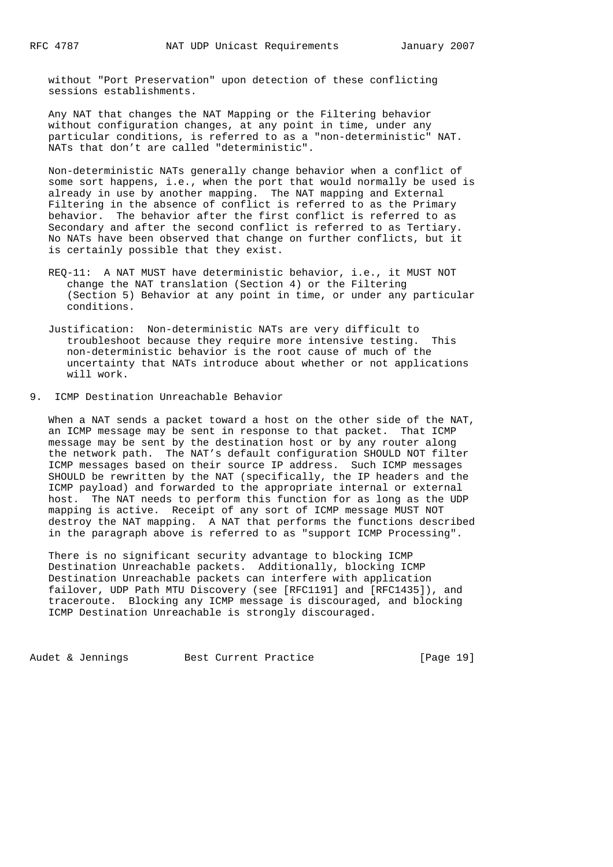without "Port Preservation" upon detection of these conflicting sessions establishments.

 Any NAT that changes the NAT Mapping or the Filtering behavior without configuration changes, at any point in time, under any particular conditions, is referred to as a "non-deterministic" NAT. NATs that don't are called "deterministic".

 Non-deterministic NATs generally change behavior when a conflict of some sort happens, i.e., when the port that would normally be used is already in use by another mapping. The NAT mapping and External Filtering in the absence of conflict is referred to as the Primary behavior. The behavior after the first conflict is referred to as Secondary and after the second conflict is referred to as Tertiary. No NATs have been observed that change on further conflicts, but it is certainly possible that they exist.

 REQ-11: A NAT MUST have deterministic behavior, i.e., it MUST NOT change the NAT translation (Section 4) or the Filtering (Section 5) Behavior at any point in time, or under any particular conditions.

 Justification: Non-deterministic NATs are very difficult to troubleshoot because they require more intensive testing. This non-deterministic behavior is the root cause of much of the uncertainty that NATs introduce about whether or not applications will work.

9. ICMP Destination Unreachable Behavior

 When a NAT sends a packet toward a host on the other side of the NAT, an ICMP message may be sent in response to that packet. That ICMP message may be sent by the destination host or by any router along the network path. The NAT's default configuration SHOULD NOT filter ICMP messages based on their source IP address. Such ICMP messages SHOULD be rewritten by the NAT (specifically, the IP headers and the ICMP payload) and forwarded to the appropriate internal or external host. The NAT needs to perform this function for as long as the UDP mapping is active. Receipt of any sort of ICMP message MUST NOT destroy the NAT mapping. A NAT that performs the functions described in the paragraph above is referred to as "support ICMP Processing".

 There is no significant security advantage to blocking ICMP Destination Unreachable packets. Additionally, blocking ICMP Destination Unreachable packets can interfere with application failover, UDP Path MTU Discovery (see [RFC1191] and [RFC1435]), and traceroute. Blocking any ICMP message is discouraged, and blocking ICMP Destination Unreachable is strongly discouraged.

Audet & Jennings Best Current Practice [Page 19]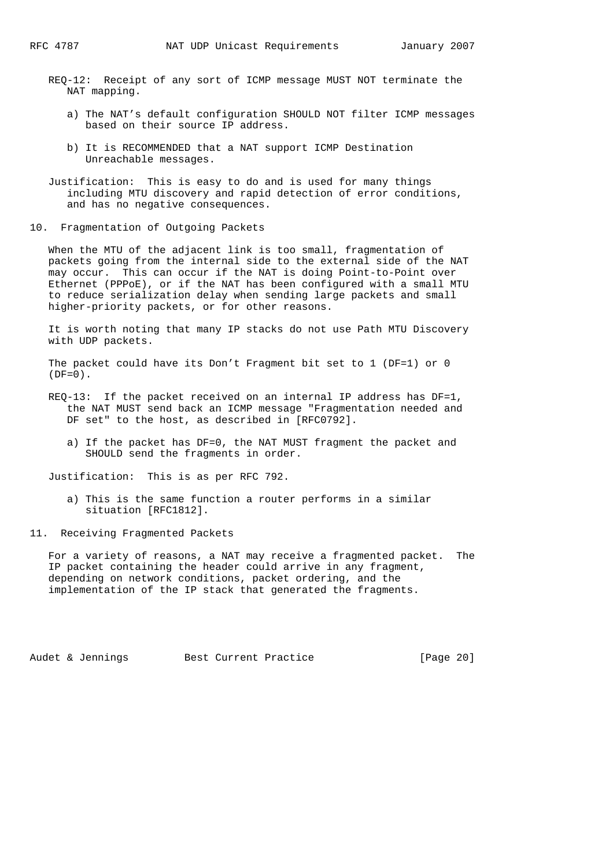- REQ-12: Receipt of any sort of ICMP message MUST NOT terminate the NAT mapping.
	- a) The NAT's default configuration SHOULD NOT filter ICMP messages based on their source IP address.
	- b) It is RECOMMENDED that a NAT support ICMP Destination Unreachable messages.
- Justification: This is easy to do and is used for many things including MTU discovery and rapid detection of error conditions, and has no negative consequences.
- 10. Fragmentation of Outgoing Packets

 When the MTU of the adjacent link is too small, fragmentation of packets going from the internal side to the external side of the NAT may occur. This can occur if the NAT is doing Point-to-Point over Ethernet (PPPoE), or if the NAT has been configured with a small MTU to reduce serialization delay when sending large packets and small higher-priority packets, or for other reasons.

 It is worth noting that many IP stacks do not use Path MTU Discovery with UDP packets.

 The packet could have its Don't Fragment bit set to 1 (DF=1) or 0  $(DF=0)$ .

- REQ-13: If the packet received on an internal IP address has DF=1, the NAT MUST send back an ICMP message "Fragmentation needed and DF set" to the host, as described in [RFC0792].
	- a) If the packet has DF=0, the NAT MUST fragment the packet and SHOULD send the fragments in order.

Justification: This is as per RFC 792.

- a) This is the same function a router performs in a similar situation [RFC1812].
- 11. Receiving Fragmented Packets

 For a variety of reasons, a NAT may receive a fragmented packet. The IP packet containing the header could arrive in any fragment, depending on network conditions, packet ordering, and the implementation of the IP stack that generated the fragments.

Audet & Jennings Best Current Practice [Page 20]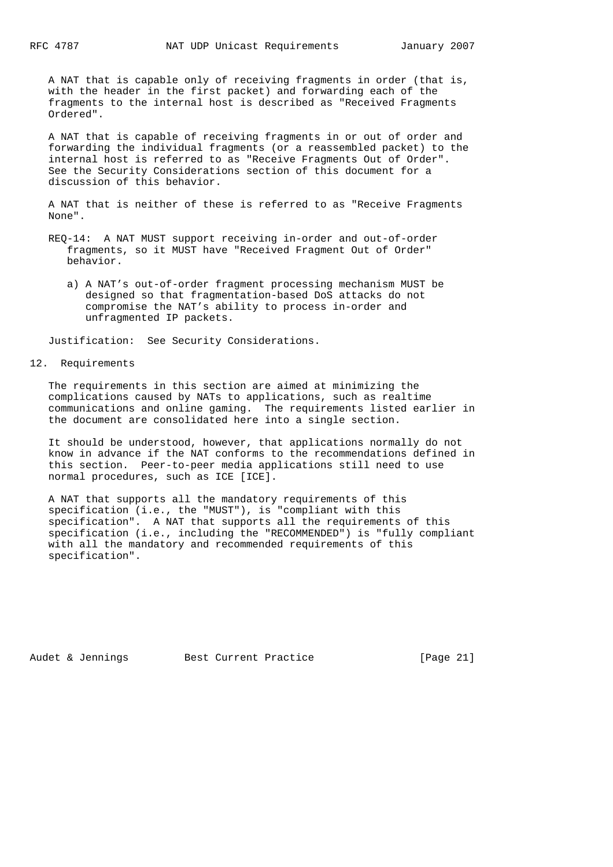A NAT that is capable only of receiving fragments in order (that is, with the header in the first packet) and forwarding each of the fragments to the internal host is described as "Received Fragments Ordered".

 A NAT that is capable of receiving fragments in or out of order and forwarding the individual fragments (or a reassembled packet) to the internal host is referred to as "Receive Fragments Out of Order". See the Security Considerations section of this document for a discussion of this behavior.

 A NAT that is neither of these is referred to as "Receive Fragments None".

- REQ-14: A NAT MUST support receiving in-order and out-of-order fragments, so it MUST have "Received Fragment Out of Order" behavior.
	- a) A NAT's out-of-order fragment processing mechanism MUST be designed so that fragmentation-based DoS attacks do not compromise the NAT's ability to process in-order and unfragmented IP packets.

Justification: See Security Considerations.

#### 12. Requirements

 The requirements in this section are aimed at minimizing the complications caused by NATs to applications, such as realtime communications and online gaming. The requirements listed earlier in the document are consolidated here into a single section.

 It should be understood, however, that applications normally do not know in advance if the NAT conforms to the recommendations defined in this section. Peer-to-peer media applications still need to use normal procedures, such as ICE [ICE].

 A NAT that supports all the mandatory requirements of this specification (i.e., the "MUST"), is "compliant with this specification". A NAT that supports all the requirements of this specification (i.e., including the "RECOMMENDED") is "fully compliant with all the mandatory and recommended requirements of this specification".

Audet & Jennings Best Current Practice [Page 21]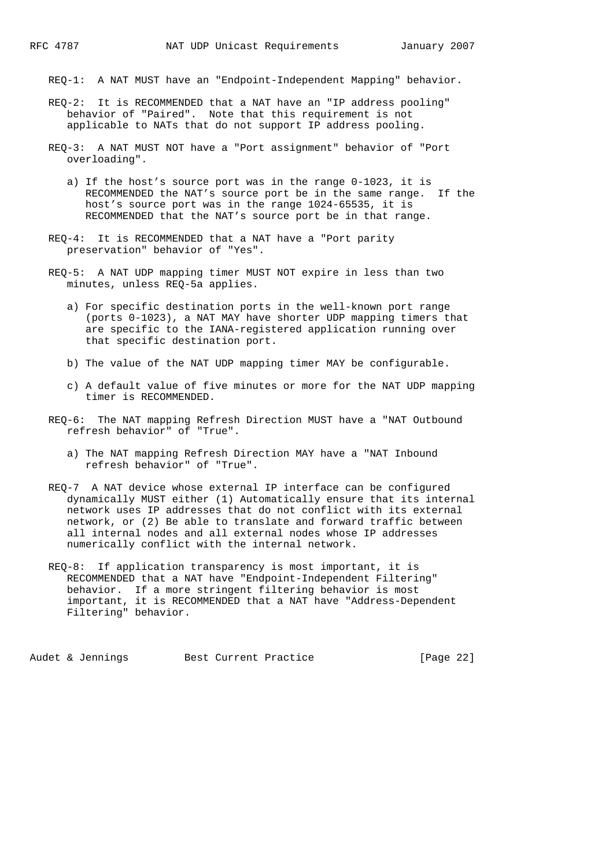REQ-1: A NAT MUST have an "Endpoint-Independent Mapping" behavior.

- REQ-2: It is RECOMMENDED that a NAT have an "IP address pooling" behavior of "Paired". Note that this requirement is not applicable to NATs that do not support IP address pooling.
- REQ-3: A NAT MUST NOT have a "Port assignment" behavior of "Port overloading".
	- a) If the host's source port was in the range 0-1023, it is RECOMMENDED the NAT's source port be in the same range. If the host's source port was in the range 1024-65535, it is RECOMMENDED that the NAT's source port be in that range.
- REQ-4: It is RECOMMENDED that a NAT have a "Port parity preservation" behavior of "Yes".
- REQ-5: A NAT UDP mapping timer MUST NOT expire in less than two minutes, unless REQ-5a applies.
	- a) For specific destination ports in the well-known port range (ports 0-1023), a NAT MAY have shorter UDP mapping timers that are specific to the IANA-registered application running over that specific destination port.
	- b) The value of the NAT UDP mapping timer MAY be configurable.
	- c) A default value of five minutes or more for the NAT UDP mapping timer is RECOMMENDED.
- REQ-6: The NAT mapping Refresh Direction MUST have a "NAT Outbound refresh behavior" of "True".
	- a) The NAT mapping Refresh Direction MAY have a "NAT Inbound refresh behavior" of "True".
- REQ-7 A NAT device whose external IP interface can be configured dynamically MUST either (1) Automatically ensure that its internal network uses IP addresses that do not conflict with its external network, or (2) Be able to translate and forward traffic between all internal nodes and all external nodes whose IP addresses numerically conflict with the internal network.
- REQ-8: If application transparency is most important, it is RECOMMENDED that a NAT have "Endpoint-Independent Filtering" behavior. If a more stringent filtering behavior is most important, it is RECOMMENDED that a NAT have "Address-Dependent Filtering" behavior.

Audet & Jennings Best Current Practice [Page 22]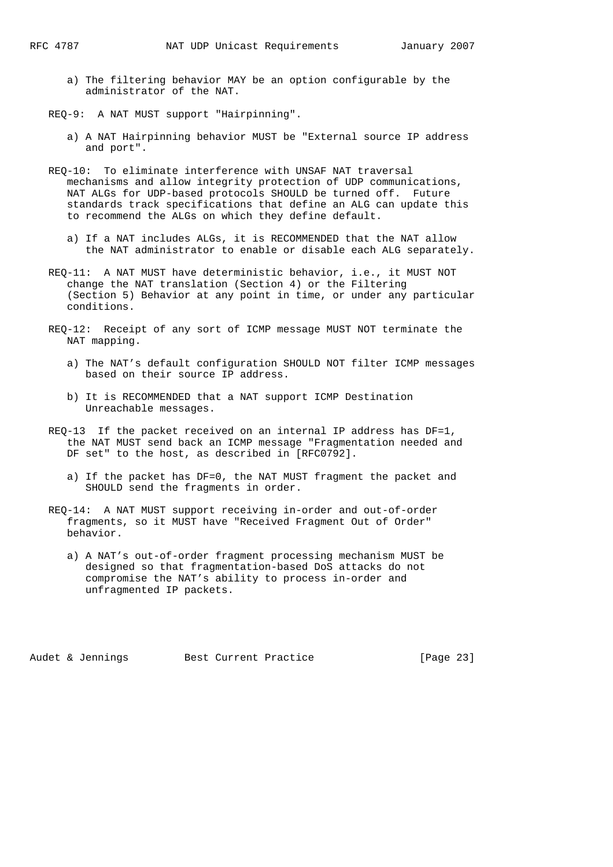- a) The filtering behavior MAY be an option configurable by the administrator of the NAT.
- REQ-9: A NAT MUST support "Hairpinning".
	- a) A NAT Hairpinning behavior MUST be "External source IP address and port".
- REQ-10: To eliminate interference with UNSAF NAT traversal mechanisms and allow integrity protection of UDP communications, NAT ALGs for UDP-based protocols SHOULD be turned off. Future standards track specifications that define an ALG can update this to recommend the ALGs on which they define default.
	- a) If a NAT includes ALGs, it is RECOMMENDED that the NAT allow the NAT administrator to enable or disable each ALG separately.
- REQ-11: A NAT MUST have deterministic behavior, i.e., it MUST NOT change the NAT translation (Section 4) or the Filtering (Section 5) Behavior at any point in time, or under any particular conditions.
- REQ-12: Receipt of any sort of ICMP message MUST NOT terminate the NAT mapping.
	- a) The NAT's default configuration SHOULD NOT filter ICMP messages based on their source IP address.
	- b) It is RECOMMENDED that a NAT support ICMP Destination Unreachable messages.
- REQ-13 If the packet received on an internal IP address has DF=1, the NAT MUST send back an ICMP message "Fragmentation needed and DF set" to the host, as described in [RFC0792].
	- a) If the packet has DF=0, the NAT MUST fragment the packet and SHOULD send the fragments in order.
- REQ-14: A NAT MUST support receiving in-order and out-of-order fragments, so it MUST have "Received Fragment Out of Order" behavior.
	- a) A NAT's out-of-order fragment processing mechanism MUST be designed so that fragmentation-based DoS attacks do not compromise the NAT's ability to process in-order and unfragmented IP packets.

Audet & Jennings Best Current Practice [Page 23]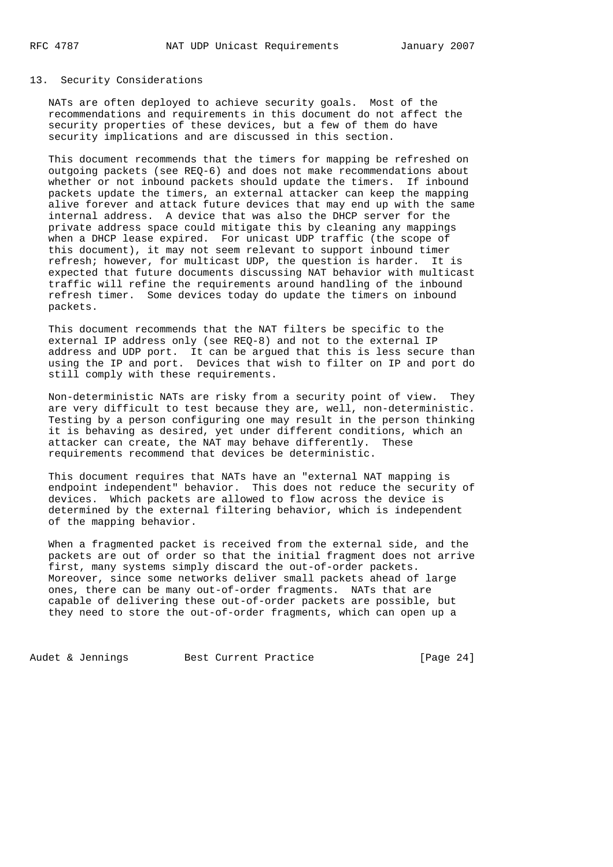#### 13. Security Considerations

 NATs are often deployed to achieve security goals. Most of the recommendations and requirements in this document do not affect the security properties of these devices, but a few of them do have security implications and are discussed in this section.

 This document recommends that the timers for mapping be refreshed on outgoing packets (see REQ-6) and does not make recommendations about whether or not inbound packets should update the timers. If inbound packets update the timers, an external attacker can keep the mapping alive forever and attack future devices that may end up with the same internal address. A device that was also the DHCP server for the private address space could mitigate this by cleaning any mappings when a DHCP lease expired. For unicast UDP traffic (the scope of this document), it may not seem relevant to support inbound timer refresh; however, for multicast UDP, the question is harder. It is expected that future documents discussing NAT behavior with multicast traffic will refine the requirements around handling of the inbound refresh timer. Some devices today do update the timers on inbound packets.

 This document recommends that the NAT filters be specific to the external IP address only (see REQ-8) and not to the external IP address and UDP port. It can be argued that this is less secure than using the IP and port. Devices that wish to filter on IP and port do still comply with these requirements.

 Non-deterministic NATs are risky from a security point of view. They are very difficult to test because they are, well, non-deterministic. Testing by a person configuring one may result in the person thinking it is behaving as desired, yet under different conditions, which an attacker can create, the NAT may behave differently. These requirements recommend that devices be deterministic.

 This document requires that NATs have an "external NAT mapping is endpoint independent" behavior. This does not reduce the security of devices. Which packets are allowed to flow across the device is determined by the external filtering behavior, which is independent of the mapping behavior.

 When a fragmented packet is received from the external side, and the packets are out of order so that the initial fragment does not arrive first, many systems simply discard the out-of-order packets. Moreover, since some networks deliver small packets ahead of large ones, there can be many out-of-order fragments. NATs that are capable of delivering these out-of-order packets are possible, but they need to store the out-of-order fragments, which can open up a

Audet & Jennings Best Current Practice [Page 24]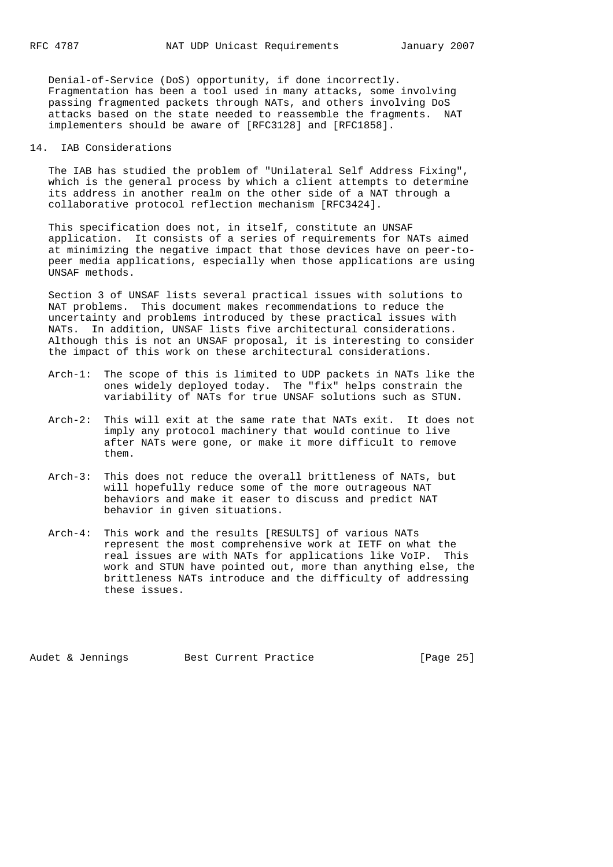Denial-of-Service (DoS) opportunity, if done incorrectly. Fragmentation has been a tool used in many attacks, some involving passing fragmented packets through NATs, and others involving DoS attacks based on the state needed to reassemble the fragments. NAT implementers should be aware of [RFC3128] and [RFC1858].

#### 14. IAB Considerations

 The IAB has studied the problem of "Unilateral Self Address Fixing", which is the general process by which a client attempts to determine its address in another realm on the other side of a NAT through a collaborative protocol reflection mechanism [RFC3424].

 This specification does not, in itself, constitute an UNSAF application. It consists of a series of requirements for NATs aimed at minimizing the negative impact that those devices have on peer-to peer media applications, especially when those applications are using UNSAF methods.

 Section 3 of UNSAF lists several practical issues with solutions to NAT problems. This document makes recommendations to reduce the uncertainty and problems introduced by these practical issues with NATs. In addition, UNSAF lists five architectural considerations. Although this is not an UNSAF proposal, it is interesting to consider the impact of this work on these architectural considerations.

- Arch-1: The scope of this is limited to UDP packets in NATs like the ones widely deployed today. The "fix" helps constrain the variability of NATs for true UNSAF solutions such as STUN.
- Arch-2: This will exit at the same rate that NATs exit. It does not imply any protocol machinery that would continue to live after NATs were gone, or make it more difficult to remove them.
- Arch-3: This does not reduce the overall brittleness of NATs, but will hopefully reduce some of the more outrageous NAT behaviors and make it easer to discuss and predict NAT behavior in given situations.
- Arch-4: This work and the results [RESULTS] of various NATs represent the most comprehensive work at IETF on what the real issues are with NATs for applications like VoIP. This work and STUN have pointed out, more than anything else, the brittleness NATs introduce and the difficulty of addressing these issues.

Audet & Jennings Best Current Practice [Page 25]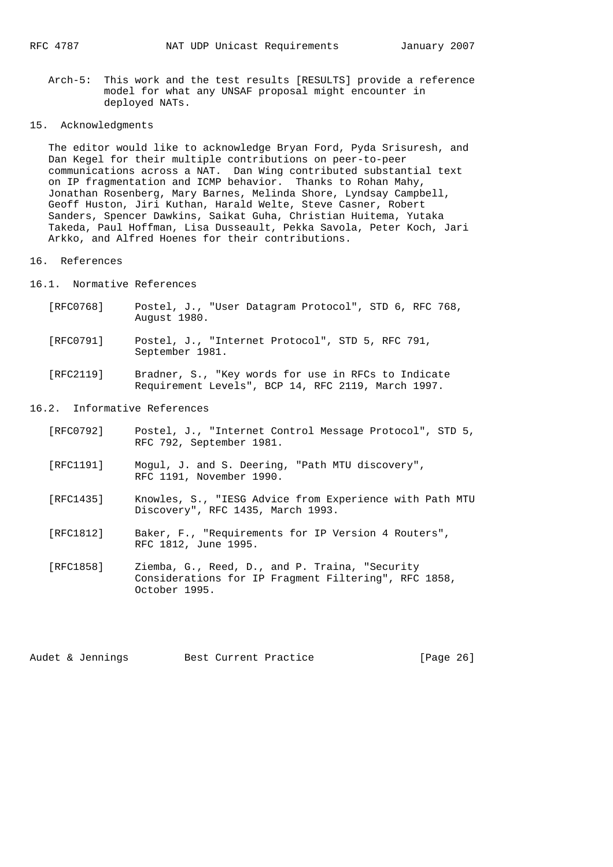Arch-5: This work and the test results [RESULTS] provide a reference model for what any UNSAF proposal might encounter in deployed NATs.

## 15. Acknowledgments

 The editor would like to acknowledge Bryan Ford, Pyda Srisuresh, and Dan Kegel for their multiple contributions on peer-to-peer communications across a NAT. Dan Wing contributed substantial text on IP fragmentation and ICMP behavior. Thanks to Rohan Mahy, Jonathan Rosenberg, Mary Barnes, Melinda Shore, Lyndsay Campbell, Geoff Huston, Jiri Kuthan, Harald Welte, Steve Casner, Robert Sanders, Spencer Dawkins, Saikat Guha, Christian Huitema, Yutaka Takeda, Paul Hoffman, Lisa Dusseault, Pekka Savola, Peter Koch, Jari Arkko, and Alfred Hoenes for their contributions.

#### 16. References

16.1. Normative References

- [RFC0768] Postel, J., "User Datagram Protocol", STD 6, RFC 768, August 1980.
- [RFC0791] Postel, J., "Internet Protocol", STD 5, RFC 791, September 1981.
- [RFC2119] Bradner, S., "Key words for use in RFCs to Indicate Requirement Levels", BCP 14, RFC 2119, March 1997.

### 16.2. Informative References

- [RFC0792] Postel, J., "Internet Control Message Protocol", STD 5, RFC 792, September 1981.
- [RFC1191] Mogul, J. and S. Deering, "Path MTU discovery", RFC 1191, November 1990.
- [RFC1435] Knowles, S., "IESG Advice from Experience with Path MTU Discovery", RFC 1435, March 1993.
- [RFC1812] Baker, F., "Requirements for IP Version 4 Routers", RFC 1812, June 1995.
- [RFC1858] Ziemba, G., Reed, D., and P. Traina, "Security Considerations for IP Fragment Filtering", RFC 1858, October 1995.

Audet & Jennings Best Current Practice [Page 26]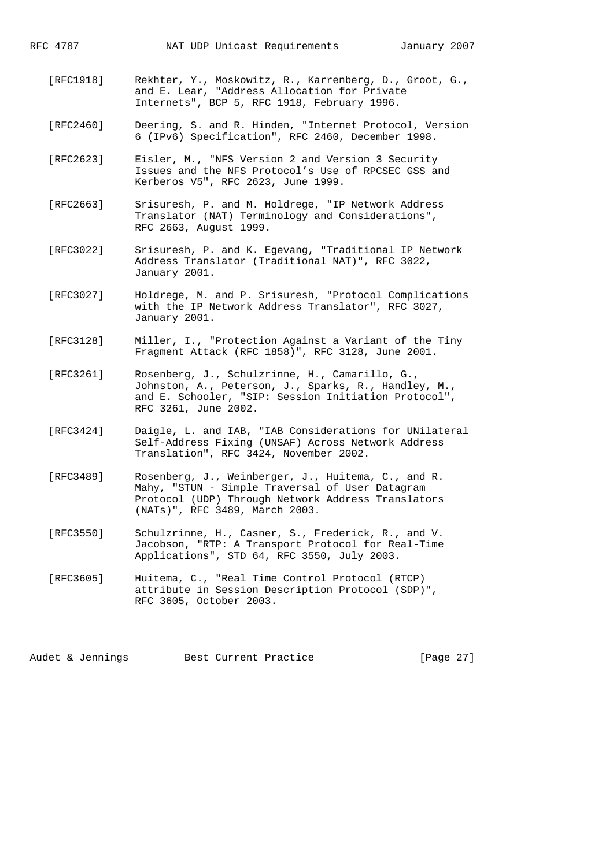- [RFC1918] Rekhter, Y., Moskowitz, R., Karrenberg, D., Groot, G., and E. Lear, "Address Allocation for Private Internets", BCP 5, RFC 1918, February 1996.
- [RFC2460] Deering, S. and R. Hinden, "Internet Protocol, Version 6 (IPv6) Specification", RFC 2460, December 1998.
- [RFC2623] Eisler, M., "NFS Version 2 and Version 3 Security Issues and the NFS Protocol's Use of RPCSEC\_GSS and Kerberos V5", RFC 2623, June 1999.
- [RFC2663] Srisuresh, P. and M. Holdrege, "IP Network Address Translator (NAT) Terminology and Considerations", RFC 2663, August 1999.
- [RFC3022] Srisuresh, P. and K. Egevang, "Traditional IP Network Address Translator (Traditional NAT)", RFC 3022, January 2001.
- [RFC3027] Holdrege, M. and P. Srisuresh, "Protocol Complications with the IP Network Address Translator", RFC 3027, January 2001.
- [RFC3128] Miller, I., "Protection Against a Variant of the Tiny Fragment Attack (RFC 1858)", RFC 3128, June 2001.
- [RFC3261] Rosenberg, J., Schulzrinne, H., Camarillo, G., Johnston, A., Peterson, J., Sparks, R., Handley, M., and E. Schooler, "SIP: Session Initiation Protocol", RFC 3261, June 2002.
- [RFC3424] Daigle, L. and IAB, "IAB Considerations for UNilateral Self-Address Fixing (UNSAF) Across Network Address Translation", RFC 3424, November 2002.
- [RFC3489] Rosenberg, J., Weinberger, J., Huitema, C., and R. Mahy, "STUN - Simple Traversal of User Datagram Protocol (UDP) Through Network Address Translators (NATs)", RFC 3489, March 2003.
- [RFC3550] Schulzrinne, H., Casner, S., Frederick, R., and V. Jacobson, "RTP: A Transport Protocol for Real-Time Applications", STD 64, RFC 3550, July 2003.
- [RFC3605] Huitema, C., "Real Time Control Protocol (RTCP) attribute in Session Description Protocol (SDP)", RFC 3605, October 2003.

Audet & Jennings Best Current Practice [Page 27]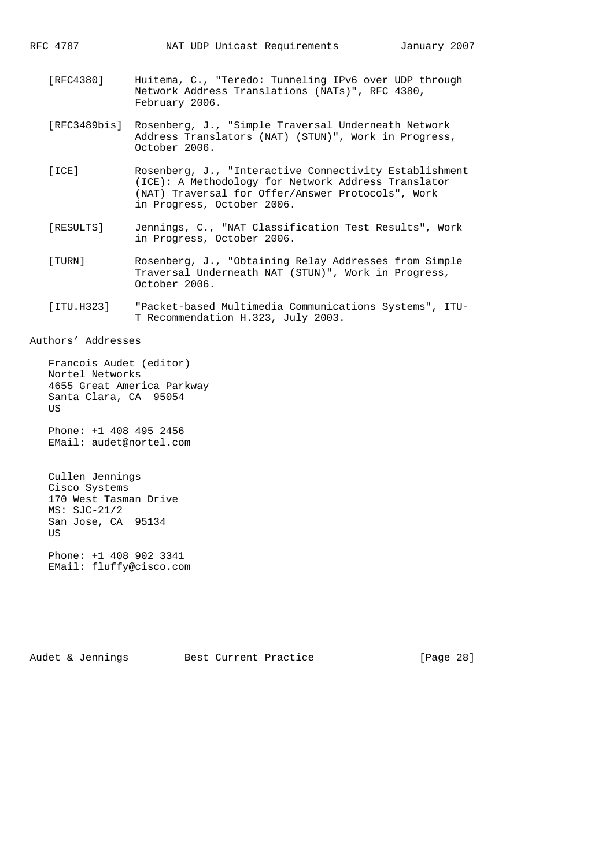- [RFC4380] Huitema, C., "Teredo: Tunneling IPv6 over UDP through Network Address Translations (NATs)", RFC 4380, February 2006.
- [RFC3489bis] Rosenberg, J., "Simple Traversal Underneath Network Address Translators (NAT) (STUN)", Work in Progress, October 2006.
- [ICE] Rosenberg, J., "Interactive Connectivity Establishment (ICE): A Methodology for Network Address Translator (NAT) Traversal for Offer/Answer Protocols", Work in Progress, October 2006.
- [RESULTS] Jennings, C., "NAT Classification Test Results", Work in Progress, October 2006.
- [TURN] Rosenberg, J., "Obtaining Relay Addresses from Simple Traversal Underneath NAT (STUN)", Work in Progress, October 2006.
- [ITU.H323] "Packet-based Multimedia Communications Systems", ITU- T Recommendation H.323, July 2003.

#### Authors' Addresses

 Francois Audet (editor) Nortel Networks 4655 Great America Parkway Santa Clara, CA 95054 **US** 

 Phone: +1 408 495 2456 EMail: audet@nortel.com

 Cullen Jennings Cisco Systems 170 West Tasman Drive MS: SJC-21/2 San Jose, CA 95134 US

 Phone: +1 408 902 3341 EMail: fluffy@cisco.com

Audet & Jennings Best Current Practice [Page 28]